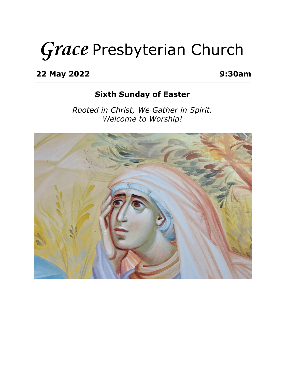# **Grace** Presbyterian Church

**22 May 2022 9:30am**

## **Sixth Sunday of Easter**

*Rooted in Christ, We Gather in Spirit. Welcome to Worship!*

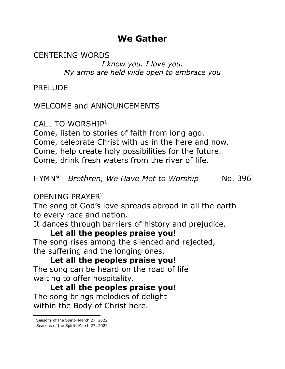# **We Gather**

CENTERING WORDS

*I know you. I love you. My arms are held wide open to embrace you*

PRELUDE

## WELCOME and ANNOUNCEMENTS

CALL TO WORSHIP<sup>1</sup>

Come, listen to stories of faith from long ago.

Come, celebrate Christ with us in the here and now.

Come, help create holy possibilities for the future.

Come, drink fresh waters from the river of life.

HYMN\* *Brethren, We Have Met to Worship* No. 396

OPENING PRAYER<sup>2</sup>

The song of God's love spreads abroad in all the earth – to every race and nation.

It dances through barriers of history and prejudice.

### **Let all the peoples praise you!**

The song rises among the silenced and rejected, the suffering and the longing ones.

**Let all the peoples praise you!** The song can be heard on the road of life waiting to offer hospitality.

**Let all the peoples praise you!** The song brings melodies of delight within the Body of Christ here.

<sup>1</sup> Seasons of the Spirit- March 27, 2022

<sup>2</sup> Seasons of the Spirit- March 27, 2022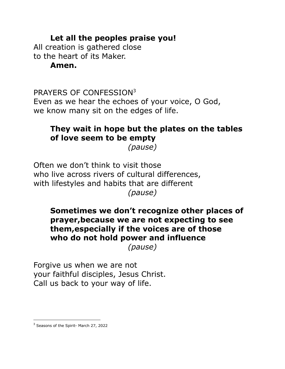## **Let all the peoples praise you!**

All creation is gathered close to the heart of its Maker. **Amen.**

PRAYERS OF CONFESSION<sup>3</sup> Even as we hear the echoes of your voice, O God, we know many sit on the edges of life.

# **They wait in hope but the plates on the tables of love seem to be empty**

*(pause)*

Often we don't think to visit those who live across rivers of cultural differences, with lifestyles and habits that are different *(pause)*

# **Sometimes we don't recognize other places of prayer,because we are not expecting to see them,especially if the voices are of those who do not hold power and influence**

*(pause)*

Forgive us when we are not your faithful disciples, Jesus Christ. Call us back to your way of life.

<sup>3</sup> Seasons of the Spirit- March 27, 2022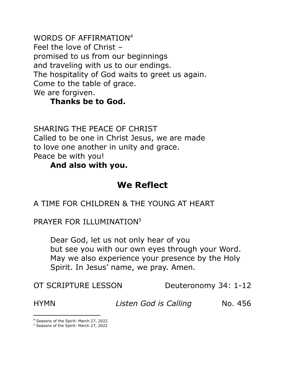WORDS OF AFFIRMATION 4 Feel the love of Christ – promised to us from our beginnings and traveling with us to our endings. The hospitality of God waits to greet us again. Come to the table of grace. We are forgiven.

## **Thanks be to God.**

SHARING THE PEACE OF CHRIST Called to be one in Christ Jesus, we are made to love one another in unity and grace. Peace be with you!

#### **And also with you.**

# **We Reflect**

A TIME FOR CHILDREN & THE YOUNG AT HEART

PRAYER FOR ILLUMINATION<sup>5</sup>

Dear God, let us not only hear of you but see you with our own eyes through your Word. May we also experience your presence by the Holy Spirit. In Jesus' name, we pray. Amen.

OT SCRIPTURE LESSON Deuteronomy 34: 1-12

HYMN *Listen God is Calling* No. 456

<sup>4</sup> Seasons of the Spirit- March 27, 2022

<sup>5</sup> Seasons of the Spirit- March 27, 2022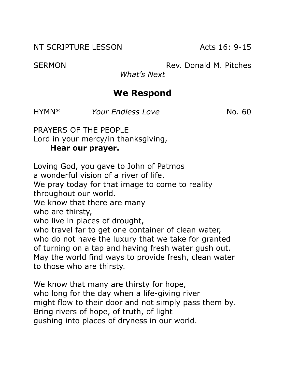NT SCRIPTURE LESSON Acts 16: 9-15

SERMON Rev. Donald M. Pitches

*What's Next*

# **We Respond**

HYMN\* *Your Endless Love* No. 60

PRAYERS OF THE PEOPLE Lord in your mercy/in thanksgiving, **Hear our prayer.**

Loving God, you gave to John of Patmos a wonderful vision of a river of life. We pray today for that image to come to reality throughout our world. We know that there are many who are thirsty, who live in places of drought, who travel far to get one container of clean water, who do not have the luxury that we take for granted of turning on a tap and having fresh water gush out. May the world find ways to provide fresh, clean water to those who are thirsty.

We know that many are thirsty for hope, who long for the day when a life-giving river might flow to their door and not simply pass them by. Bring rivers of hope, of truth, of light gushing into places of dryness in our world.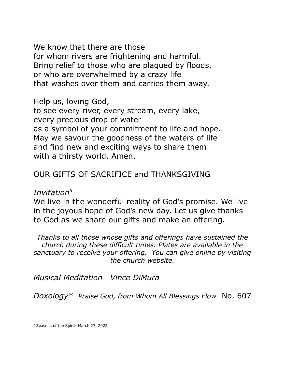We know that there are those for whom rivers are frightening and harmful. Bring relief to those who are plagued by floods, or who are overwhelmed by a crazy life that washes over them and carries them away.

Help us, loving God,

to see every river, every stream, every lake, every precious drop of water as a symbol of your commitment to life and hope. May we savour the goodness of the waters of life and find new and exciting ways to share them with a thirsty world. Amen.

# OUR GIFTS OF SACRIFICE and THANKSGIVING

#### *Invitation 6*

We live in the wonderful reality of God's promise. We live in the joyous hope of God's new day. Let us give thanks to God as we share our gifts and make an offering.

*Thanks to all those whose gifts and offerings have sustained the church during these difficult times. Plates are available in the sanctuary to receive your offering. You can give online by visiting the church website.*

*Musical Meditation Vince DiMura*

*Doxology\* Praise God, from Whom All Blessings Flow* No. 607

<sup>6</sup> Seasons of the Spirit- March 27, 2022